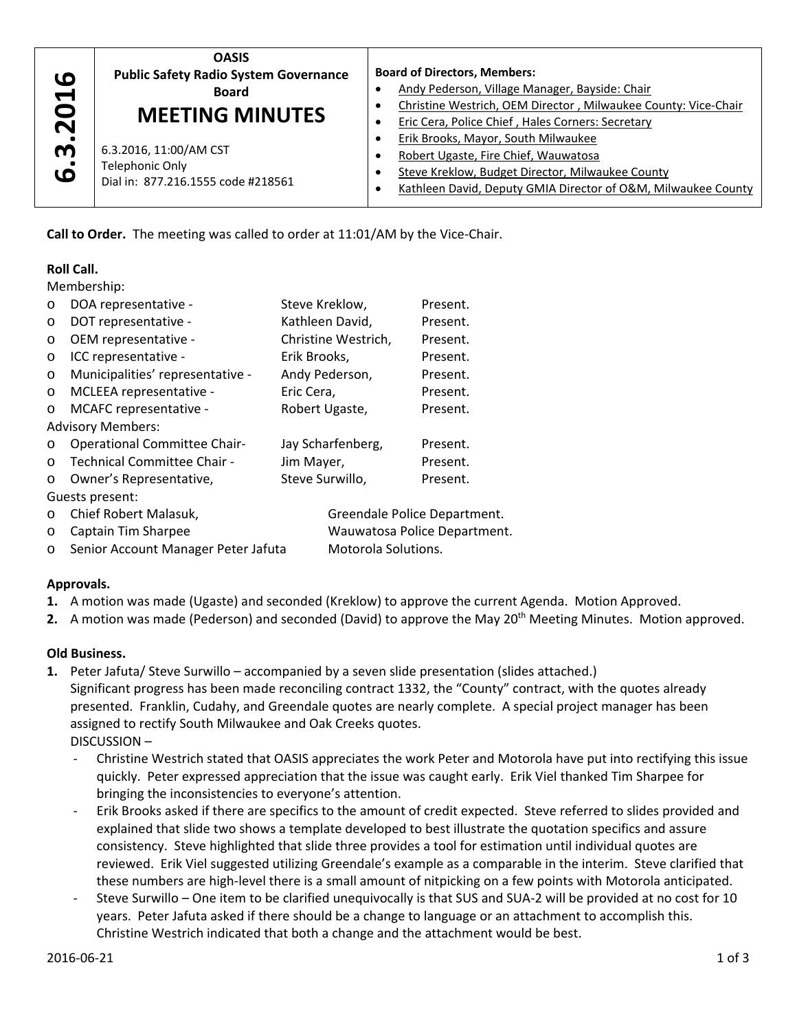| ဖ                     | <b>OASIS</b>                                                                    | <b>Board of Directors, Members:</b>                                                                                                                                                              |  |
|-----------------------|---------------------------------------------------------------------------------|--------------------------------------------------------------------------------------------------------------------------------------------------------------------------------------------------|--|
| $\blacktriangleright$ | <b>Public Safety Radio System Governance</b>                                    | Andy Pederson, Village Manager, Bayside: Chair                                                                                                                                                   |  |
| 0                     | <b>Board</b>                                                                    | Christine Westrich, OEM Director, Milwaukee County: Vice-Chair                                                                                                                                   |  |
| $\mathbf N$           | <b>MEETING MINUTES</b>                                                          | Eric Cera, Police Chief, Hales Corners: Secretary                                                                                                                                                |  |
| m<br>.<br>فا          | 6.3.2016, 11:00/AM CST<br>Telephonic Only<br>Dial in: 877.216.1555 code #218561 | Erik Brooks, Mayor, South Milwaukee<br>Robert Ugaste, Fire Chief, Wauwatosa<br>Steve Kreklow, Budget Director, Milwaukee County<br>Kathleen David, Deputy GMIA Director of O&M, Milwaukee County |  |

**Call to Order.** The meeting was called to order at 11:01/AM by the Vice‐Chair.

# **Roll Call.**

Membership:

| $\circ$                  | DOA representative -                | Steve Kreklow,               | Present.            |  |  |
|--------------------------|-------------------------------------|------------------------------|---------------------|--|--|
| $\circ$                  | DOT representative -                | Kathleen David,              | Present.            |  |  |
| $\circ$                  | OEM representative -                | Christine Westrich,          | Present.            |  |  |
| $\circ$                  | ICC representative -                | Erik Brooks,                 | Present.            |  |  |
| $\circ$                  | Municipalities' representative -    | Andy Pederson,               | Present.            |  |  |
| $\circ$                  | MCLEEA representative -             | Eric Cera,                   | Present.            |  |  |
| $\circ$                  | MCAFC representative -              | Robert Ugaste,               | Present.            |  |  |
| <b>Advisory Members:</b> |                                     |                              |                     |  |  |
| $\circ$                  | <b>Operational Committee Chair-</b> | Jay Scharfenberg,            | Present.            |  |  |
| $\circ$                  | Technical Committee Chair -         | Jim Mayer,                   | Present.            |  |  |
| $\circ$                  | Owner's Representative,             | Steve Surwillo,              | Present.            |  |  |
| Guests present:          |                                     |                              |                     |  |  |
| $\circ$                  | Chief Robert Malasuk,               | Greendale Police Department. |                     |  |  |
| O                        | Captain Tim Sharpee                 | Wauwatosa Police Department. |                     |  |  |
| $\circ$                  | Senior Account Manager Peter Jafuta |                              | Motorola Solutions. |  |  |

# **Approvals.**

- **1.** A motion was made (Ugaste) and seconded (Kreklow) to approve the current Agenda. Motion Approved.
- 2. A motion was made (Pederson) and seconded (David) to approve the May 20<sup>th</sup> Meeting Minutes. Motion approved.

### **Old Business.**

- **1.** Peter Jafuta/ Steve Surwillo accompanied by a seven slide presentation (slides attached.) Significant progress has been made reconciling contract 1332, the "County" contract, with the quotes already presented. Franklin, Cudahy, and Greendale quotes are nearly complete. A special project manager has been assigned to rectify South Milwaukee and Oak Creeks quotes. DISCUSSION –
	- ‐ Christine Westrich stated that OASIS appreciates the work Peter and Motorola have put into rectifying this issue quickly. Peter expressed appreciation that the issue was caught early. Erik Viel thanked Tim Sharpee for bringing the inconsistencies to everyone's attention.
	- ‐ Erik Brooks asked if there are specifics to the amount of credit expected. Steve referred to slides provided and explained that slide two shows a template developed to best illustrate the quotation specifics and assure consistency. Steve highlighted that slide three provides a tool for estimation until individual quotes are reviewed. Erik Viel suggested utilizing Greendale's example as a comparable in the interim. Steve clarified that these numbers are high‐level there is a small amount of nitpicking on a few points with Motorola anticipated.
	- ‐ Steve Surwillo One item to be clarified unequivocally is that SUS and SUA‐2 will be provided at no cost for 10 years. Peter Jafuta asked if there should be a change to language or an attachment to accomplish this. Christine Westrich indicated that both a change and the attachment would be best.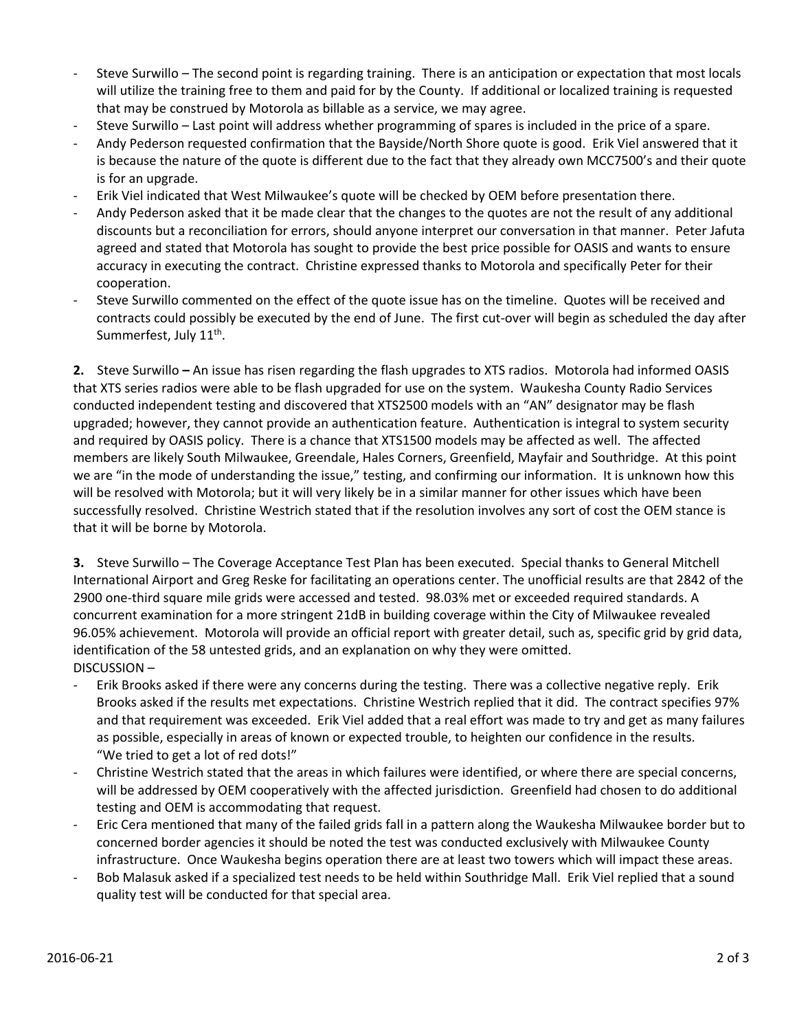- Steve Surwillo The second point is regarding training. There is an anticipation or expectation that most locals will utilize the training free to them and paid for by the County. If additional or localized training is requested that may be construed by Motorola as billable as a service, we may agree.
- ‐ Steve Surwillo Last point will address whether programming of spares is included in the price of a spare.
- ‐ Andy Pederson requested confirmation that the Bayside/North Shore quote is good. Erik Viel answered that it is because the nature of the quote is different due to the fact that they already own MCC7500's and their quote is for an upgrade.
- ‐ Erik Viel indicated that West Milwaukee's quote will be checked by OEM before presentation there.
- ‐ Andy Pederson asked that it be made clear that the changes to the quotes are not the result of any additional discounts but a reconciliation for errors, should anyone interpret our conversation in that manner. Peter Jafuta agreed and stated that Motorola has sought to provide the best price possible for OASIS and wants to ensure accuracy in executing the contract. Christine expressed thanks to Motorola and specifically Peter for their cooperation.
- ‐ Steve Surwillo commented on the effect of the quote issue has on the timeline. Quotes will be received and contracts could possibly be executed by the end of June. The first cut-over will begin as scheduled the day after Summerfest, July 11<sup>th</sup>.

**2.** Steve Surwillo **–** An issue has risen regarding the flash upgrades to XTS radios. Motorola had informed OASIS that XTS series radios were able to be flash upgraded for use on the system. Waukesha County Radio Services conducted independent testing and discovered that XTS2500 models with an "AN" designator may be flash upgraded; however, they cannot provide an authentication feature. Authentication is integral to system security and required by OASIS policy. There is a chance that XTS1500 models may be affected as well. The affected members are likely South Milwaukee, Greendale, Hales Corners, Greenfield, Mayfair and Southridge. At this point we are "in the mode of understanding the issue," testing, and confirming our information. It is unknown how this will be resolved with Motorola; but it will very likely be in a similar manner for other issues which have been successfully resolved. Christine Westrich stated that if the resolution involves any sort of cost the OEM stance is that it will be borne by Motorola.

**3.** Steve Surwillo – The Coverage Acceptance Test Plan has been executed. Special thanks to General Mitchell International Airport and Greg Reske for facilitating an operations center. The unofficial results are that 2842 of the 2900 one‐third square mile grids were accessed and tested. 98.03% met or exceeded required standards. A concurrent examination for a more stringent 21dB in building coverage within the City of Milwaukee revealed 96.05% achievement. Motorola will provide an official report with greater detail, such as, specific grid by grid data, identification of the 58 untested grids, and an explanation on why they were omitted. DISCUSSION –

- ‐ Erik Brooks asked if there were any concerns during the testing. There was a collective negative reply. Erik Brooks asked if the results met expectations. Christine Westrich replied that it did. The contract specifies 97% and that requirement was exceeded. Erik Viel added that a real effort was made to try and get as many failures as possible, especially in areas of known or expected trouble, to heighten our confidence in the results. "We tried to get a lot of red dots!"
- ‐ Christine Westrich stated that the areas in which failures were identified, or where there are special concerns, will be addressed by OEM cooperatively with the affected jurisdiction. Greenfield had chosen to do additional testing and OEM is accommodating that request.
- ‐ Eric Cera mentioned that many of the failed grids fall in a pattern along the Waukesha Milwaukee border but to concerned border agencies it should be noted the test was conducted exclusively with Milwaukee County infrastructure. Once Waukesha begins operation there are at least two towers which will impact these areas.
- Bob Malasuk asked if a specialized test needs to be held within Southridge Mall. Erik Viel replied that a sound quality test will be conducted for that special area.